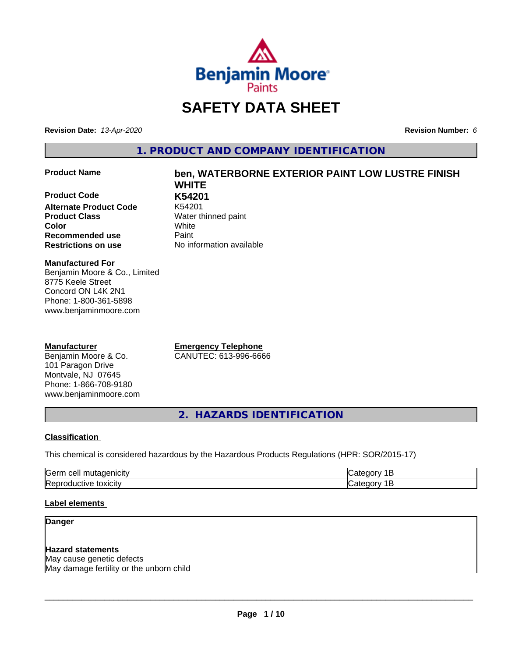

# **SAFETY DATA SHEET**

**Revision Date:** *13-Apr-2020* **Revision Number:** *6*

**1. PRODUCT AND COMPANY IDENTIFICATION**

#### **Product Name ben, WATERBORNE EXTERIOR PAINT LOW LUSTRE FINISH**

**Product Code K54201 Alternate Product Code Product Class** Water thinned paint **Recommended use Caint Restrictions on use** No information available

**WHITE Color** White

**Manufactured For** Benjamin Moore & Co., Limited 8775 Keele Street Concord ON L4K 2N1 Phone: 1-800-361-5898 www.benjaminmoore.com

### **Manufacturer**

Benjamin Moore & Co. 101 Paragon Drive Montvale, NJ 07645 Phone: 1-866-708-9180 www.benjaminmoore.com

**Emergency Telephone** CANUTEC: 613-996-6666

**2. HAZARDS IDENTIFICATION**

#### **Classification**

This chemical is considered hazardous by the Hazardous Products Regulations (HPR: SOR/2015-17)

| <b>Germ</b><br>$\sim$<br><u>_</u><br>. . |  |
|------------------------------------------|--|
| <b>IRet</b><br>*OXICIty<br>174<br>-10    |  |

#### **Label elements**

#### **Danger**

# **Hazard statements**

May cause genetic defects May damage fertility or the unborn child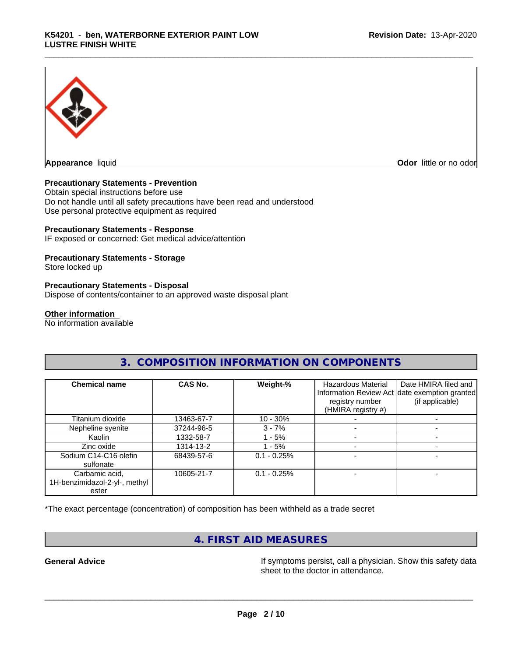

**Appearance** liquid **Contract Contract Contract Contract Contract Contract Contract Contract Contract Contract Contract Contract Contract Contract Contract Contract Contract Contract Contract Contract Contract Contract Con** 

#### **Precautionary Statements - Prevention**

Obtain special instructions before use Do not handle until all safety precautions have been read and understood Use personal protective equipment as required

#### **Precautionary Statements - Response**

IF exposed or concerned: Get medical advice/attention

#### **Precautionary Statements - Storage**

Store locked up

#### **Precautionary Statements - Disposal**

Dispose of contents/container to an approved waste disposal plant

#### **Other information**

No information available

# **3. COMPOSITION INFORMATION ON COMPONENTS**

| <b>Chemical name</b>                                     | CAS No.    | Weight-%      | <b>Hazardous Material</b><br>registry number<br>(HMIRA registry #) | Date HMIRA filed and<br>Information Review Act date exemption granted<br>(if applicable) |
|----------------------------------------------------------|------------|---------------|--------------------------------------------------------------------|------------------------------------------------------------------------------------------|
| Titanium dioxide                                         | 13463-67-7 | $10 - 30%$    |                                                                    |                                                                                          |
| Nepheline syenite                                        | 37244-96-5 | $3 - 7%$      |                                                                    |                                                                                          |
| Kaolin                                                   | 1332-58-7  | 1 - 5%        |                                                                    |                                                                                          |
| Zinc oxide                                               | 1314-13-2  | - 5%          |                                                                    |                                                                                          |
| Sodium C14-C16 olefin<br>sulfonate                       | 68439-57-6 | $0.1 - 0.25%$ |                                                                    |                                                                                          |
| Carbamic acid,<br>1H-benzimidazol-2-yl-, methyl<br>ester | 10605-21-7 | $0.1 - 0.25%$ |                                                                    |                                                                                          |

\*The exact percentage (concentration) of composition has been withheld as a trade secret

# **4. FIRST AID MEASURES**

General Advice **In the Seneral Advice** If symptoms persist, call a physician. Show this safety data sheet to the doctor in attendance.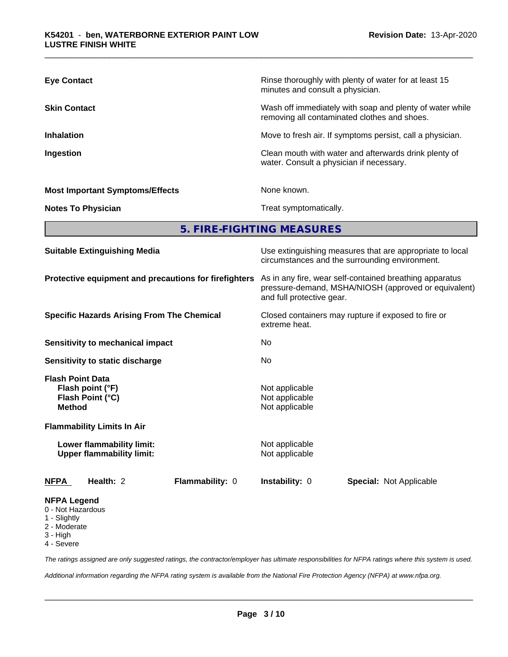| <b>Eye Contact</b>                     | Rinse thoroughly with plenty of water for at least 15<br>minutes and consult a physician.                |
|----------------------------------------|----------------------------------------------------------------------------------------------------------|
| <b>Skin Contact</b>                    | Wash off immediately with soap and plenty of water while<br>removing all contaminated clothes and shoes. |
| <b>Inhalation</b>                      | Move to fresh air. If symptoms persist, call a physician.                                                |
| Ingestion                              | Clean mouth with water and afterwards drink plenty of<br>water. Consult a physician if necessary.        |
| <b>Most Important Symptoms/Effects</b> | None known.                                                                                              |
| <b>Notes To Physician</b>              | Treat symptomatically.                                                                                   |

**5. FIRE-FIGHTING MEASURES**

| <b>Suitable Extinguishing Media</b>                                              |                        | Use extinguishing measures that are appropriate to local<br>circumstances and the surrounding environment.<br>As in any fire, wear self-contained breathing apparatus<br>pressure-demand, MSHA/NIOSH (approved or equivalent)<br>and full protective gear.<br>Closed containers may rupture if exposed to fire or<br>extreme heat.<br>No. |                                |  |
|----------------------------------------------------------------------------------|------------------------|-------------------------------------------------------------------------------------------------------------------------------------------------------------------------------------------------------------------------------------------------------------------------------------------------------------------------------------------|--------------------------------|--|
| Protective equipment and precautions for firefighters                            |                        |                                                                                                                                                                                                                                                                                                                                           |                                |  |
| <b>Specific Hazards Arising From The Chemical</b>                                |                        |                                                                                                                                                                                                                                                                                                                                           |                                |  |
| Sensitivity to mechanical impact                                                 |                        |                                                                                                                                                                                                                                                                                                                                           |                                |  |
| Sensitivity to static discharge                                                  |                        | No.                                                                                                                                                                                                                                                                                                                                       |                                |  |
| <b>Flash Point Data</b><br>Flash point (°F)<br>Flash Point (°C)<br><b>Method</b> |                        | Not applicable<br>Not applicable<br>Not applicable                                                                                                                                                                                                                                                                                        |                                |  |
| <b>Flammability Limits In Air</b>                                                |                        |                                                                                                                                                                                                                                                                                                                                           |                                |  |
| Lower flammability limit:<br><b>Upper flammability limit:</b>                    |                        | Not applicable<br>Not applicable                                                                                                                                                                                                                                                                                                          |                                |  |
| Health: 2<br><b>NFPA</b>                                                         | <b>Flammability: 0</b> | <b>Instability: 0</b>                                                                                                                                                                                                                                                                                                                     | <b>Special: Not Applicable</b> |  |
| <b>NFPA Legend</b><br>0 - Not Hazardous                                          |                        |                                                                                                                                                                                                                                                                                                                                           |                                |  |

- 1 Slightly
- 2 Moderate
- 3 High
- 4 Severe

*The ratings assigned are only suggested ratings, the contractor/employer has ultimate responsibilities for NFPA ratings where this system is used.*

*Additional information regarding the NFPA rating system is available from the National Fire Protection Agency (NFPA) at www.nfpa.org.*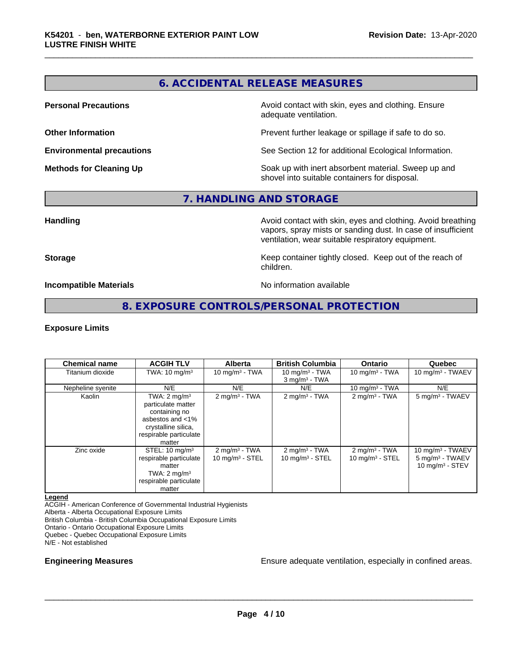# **6. ACCIDENTAL RELEASE MEASURES**

**Personal Precautions Avoid contact with skin, eyes and clothing. Ensure** Avoid contact with skin, eyes and clothing. Ensure adequate ventilation.

**Other Information Other Information Prevent further leakage or spillage if safe to do so.** 

**Environmental precautions** See Section 12 for additional Ecological Information.

**Methods for Cleaning Up Soak** up with inert absorbent material. Sweep up and shovel into suitable containers for disposal.

## **7. HANDLING AND STORAGE**

**Handling Handling Avoid contact with skin, eyes and clothing. Avoid breathing** vapors, spray mists or sanding dust. In case of insufficient ventilation, wear suitable respiratory equipment.

**Storage Keep container tightly closed. Keep out of the reach of Keep** container tightly closed. Keep out of the reach of children.

**Incompatible Materials No information available** 

# **8. EXPOSURE CONTROLS/PERSONAL PROTECTION**

#### **Exposure Limits**

| <b>Chemical name</b> | <b>ACGIH TLV</b>                                                                                                                                 | <b>Alberta</b>                                         | <b>British Columbia</b>                          | <b>Ontario</b>                                   | Quebec                                                                   |
|----------------------|--------------------------------------------------------------------------------------------------------------------------------------------------|--------------------------------------------------------|--------------------------------------------------|--------------------------------------------------|--------------------------------------------------------------------------|
| Titanium dioxide     | TWA: $10 \text{ mg/m}^3$                                                                                                                         | 10 mg/m $3 - TWA$                                      | 10 mg/m $3$ - TWA<br>$3$ mg/m <sup>3</sup> - TWA | 10 mg/m $3$ - TWA                                | 10 mg/m $3$ - TWAEV                                                      |
| Nepheline syenite    | N/E                                                                                                                                              | N/E                                                    | N/E                                              | 10 mg/m $3 - TWA$                                | N/E                                                                      |
| Kaolin               | TWA: $2 \text{ mg/m}^3$<br>particulate matter<br>containing no<br>asbestos and $<$ 1%<br>crystalline silica,<br>respirable particulate<br>matter | $2 \text{ mg/m}^3$ - TWA                               | $2$ mg/m <sup>3</sup> - TWA                      | 2 mg/m $3$ - TWA                                 | 5 mg/m <sup>3</sup> - TWAEV                                              |
| Zinc oxide           | STEL: $10 \text{ mg/m}^3$<br>respirable particulate<br>matter<br>TWA: $2 \text{ mg/m}^3$<br>respirable particulate<br>matter                     | $2 \text{ mg/m}^3$ - TWA<br>$10 \text{ mg/m}^3$ - STEL | $2$ mg/m <sup>3</sup> - TWA<br>10 $mq/m3$ - STEL | $2$ mg/m <sup>3</sup> - TWA<br>10 $mq/m3$ - STEL | 10 mg/m $3$ - TWAEV<br>5 mg/m <sup>3</sup> - TWAEV<br>10 mg/m $3 -$ STEV |

**Legend**

ACGIH - American Conference of Governmental Industrial Hygienists

Alberta - Alberta Occupational Exposure Limits

British Columbia - British Columbia Occupational Exposure Limits

Ontario - Ontario Occupational Exposure Limits

Quebec - Quebec Occupational Exposure Limits

N/E - Not established

**Engineering Measures Ensure adequate ventilation, especially in confined areas.**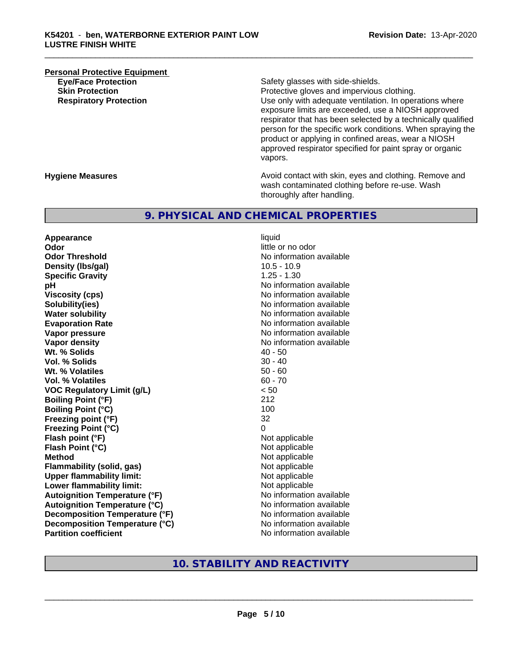# **Personal Protective Equipment**<br> **Eve/Face Protection Eye/Face Protection**<br> **Safety glasses with side-shields.**<br> **Skin Protection**<br> **Skin Protection**

Protective gloves and impervious clothing. **Respiratory Protection Number 1** (Use only with adequate ventilation. In operations where exposure limits are exceeded, use a NIOSH approved respirator that has been selected by a technically qualified person for the specific work conditions. When spraying the product or applying in confined areas, wear a NIOSH approved respirator specified for paint spray or organic vapors.

**Hygiene Measures Avoid contact with skin, eyes and clothing. Remove and Avoid contact with skin, eyes and clothing. Remove and Avoid contact with skin, eyes and clothing. Remove and** wash contaminated clothing before re-use. Wash thoroughly after handling.

# **9. PHYSICAL AND CHEMICAL PROPERTIES**

**Appearance** liquid **Odor** little or no odor **Odor Threshold** No information available **Density (lbs/gal)** 10.5 - 10.9 **Specific Gravity** 1.25 - 1.30 **pH pH**  $\blacksquare$ **Viscosity (cps)** No information available **Solubility(ies)** No information available **Water solubility** No information available **Evaporation Rate No information available No information available Vapor pressure** No information available **No information** available **Vapor density**<br> **We Solids** (*We Solids* ) and the *No information available*<br>  $40 - 50$ Wt. % Solids **Vol. % Solids** 30 - 40 **Wt. % Volatiles** 50 - 60<br> **Vol. % Volatiles** 60 - 70 **Vol. % Volatiles VOC Regulatory Limit (g/L)** < 50 **Boiling Point (°F)** 212 **Boiling Point (°C)** 100 **Freezing point (°F)** 32 **Freezing Point (°C)** 0 **Flash point (°F)**<br> **Flash Point (°C)**<br> **Flash Point (°C)**<br> **C Flash Point (°C) Method** Not applicable **Flammability (solid, gas)**<br> **Upper flammability limit:**<br>
Upper flammability limit:<br>  $\begin{array}{ccc}\n\bullet & \bullet & \bullet \\
\bullet & \bullet & \bullet\n\end{array}$ **Upper flammability limit:**<br> **Lower flammability limit:** Not applicable Not applicable **Lower flammability limit: Autoignition Temperature (°F)** No information available **Autoignition Temperature (°C)** No information available **Decomposition Temperature (°F)** No information available **Decomposition Temperature (°C)**<br> **Partition coefficient**<br> **Partition coefficient**<br> **No** information available

**No information available** 

# **10. STABILITY AND REACTIVITY**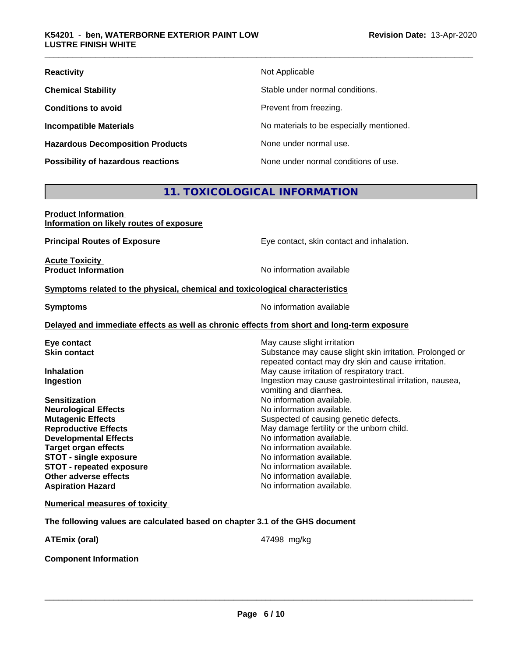| <b>Reactivity</b>                         | Not Applicable                           |
|-------------------------------------------|------------------------------------------|
| <b>Chemical Stability</b>                 | Stable under normal conditions.          |
| <b>Conditions to avoid</b>                | Prevent from freezing.                   |
| <b>Incompatible Materials</b>             | No materials to be especially mentioned. |
| <b>Hazardous Decomposition Products</b>   | None under normal use.                   |
| <b>Possibility of hazardous reactions</b> | None under normal conditions of use.     |

# **11. TOXICOLOGICAL INFORMATION**

| <b>Product Information</b>               |  |
|------------------------------------------|--|
| Information on likely routes of exposure |  |

**Principal Routes of Exposure Exposure** Eye contact, skin contact and inhalation.

**Acute Toxicity Product Information** 

#### **Symptoms** related to the physical, chemical and toxicological characteristics

**Symptoms** No information available

**Delayed and immediate effects as well as chronic effects from short and long-term exposure**

| Eye contact                           | May cause slight irritation                              |
|---------------------------------------|----------------------------------------------------------|
| <b>Skin contact</b>                   | Substance may cause slight skin irritation. Prolonged or |
|                                       | repeated contact may dry skin and cause irritation.      |
| <b>Inhalation</b>                     | May cause irritation of respiratory tract.               |
| Ingestion                             | Ingestion may cause gastrointestinal irritation, nausea, |
|                                       | vomiting and diarrhea.                                   |
| <b>Sensitization</b>                  | No information available.                                |
| <b>Neurological Effects</b>           | No information available.                                |
| <b>Mutagenic Effects</b>              | Suspected of causing genetic defects.                    |
| <b>Reproductive Effects</b>           | May damage fertility or the unborn child.                |
| <b>Developmental Effects</b>          | No information available.                                |
| <b>Target organ effects</b>           | No information available.                                |
| <b>STOT - single exposure</b>         | No information available.                                |
| <b>STOT - repeated exposure</b>       | No information available.                                |
| Other adverse effects                 | No information available.                                |
| <b>Aspiration Hazard</b>              | No information available.                                |
| <b>Numerical measures of toxicity</b> |                                                          |

**The following values are calculated based on chapter 3.1 of the GHS document**

**ATEmix (oral)** 47498 mg/kg

 $\overline{\phantom{a}}$  ,  $\overline{\phantom{a}}$  ,  $\overline{\phantom{a}}$  ,  $\overline{\phantom{a}}$  ,  $\overline{\phantom{a}}$  ,  $\overline{\phantom{a}}$  ,  $\overline{\phantom{a}}$  ,  $\overline{\phantom{a}}$  ,  $\overline{\phantom{a}}$  ,  $\overline{\phantom{a}}$  ,  $\overline{\phantom{a}}$  ,  $\overline{\phantom{a}}$  ,  $\overline{\phantom{a}}$  ,  $\overline{\phantom{a}}$  ,  $\overline{\phantom{a}}$  ,  $\overline{\phantom{a}}$ 

**Component Information**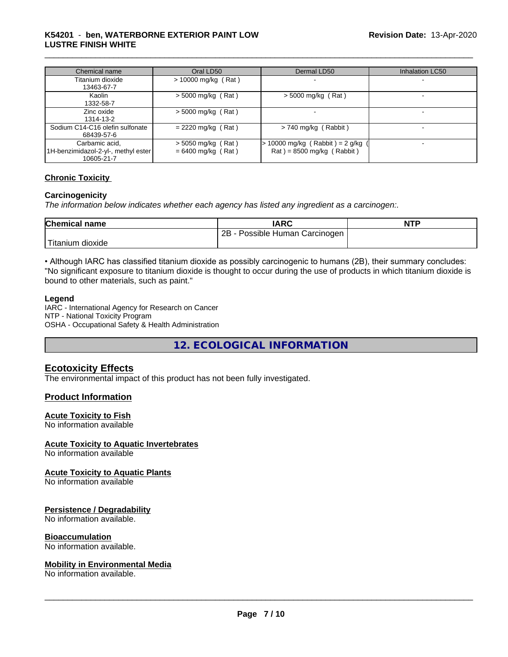#### \_\_\_\_\_\_\_\_\_\_\_\_\_\_\_\_\_\_\_\_\_\_\_\_\_\_\_\_\_\_\_\_\_\_\_\_\_\_\_\_\_\_\_\_\_\_\_\_\_\_\_\_\_\_\_\_\_\_\_\_\_\_\_\_\_\_\_\_\_\_\_\_\_\_\_\_\_\_\_\_\_\_\_\_\_\_\_\_\_\_\_\_\_ **K54201** - **ben, WATERBORNE EXTERIOR PAINT LOW LUSTRE FINISH WHITE**

| Chemical name                                                       | Oral LD50                                    | Dermal LD50                                                        | Inhalation LC50 |
|---------------------------------------------------------------------|----------------------------------------------|--------------------------------------------------------------------|-----------------|
| Titanium dioxide<br>13463-67-7                                      | $> 10000$ mg/kg (Rat)                        |                                                                    |                 |
| Kaolin<br>1332-58-7                                                 | $>$ 5000 mg/kg (Rat)                         | $>$ 5000 mg/kg (Rat)                                               |                 |
| Zinc oxide<br>1314-13-2                                             | $>$ 5000 mg/kg (Rat)                         |                                                                    |                 |
| Sodium C14-C16 olefin sulfonate<br>68439-57-6                       | $= 2220$ mg/kg (Rat)                         | $> 740$ mg/kg (Rabbit)                                             |                 |
| Carbamic acid,<br>1H-benzimidazol-2-yl-, methyl ester<br>10605-21-7 | $>$ 5050 mg/kg (Rat)<br>$= 6400$ mg/kg (Rat) | $> 10000$ mg/kg (Rabbit) = 2 g/kg (<br>$Rat$ = 8500 mg/kg (Rabbit) |                 |

#### **Chronic Toxicity**

#### **Carcinogenicity**

*The information below indicateswhether each agency has listed any ingredient as a carcinogen:.*

| <b>Chemical name</b>   | <b>IARC</b>                              | <b>NTP</b> |
|------------------------|------------------------------------------|------------|
|                        | 2B<br>- Possible Human C<br>ı Carcinoqen |            |
| ے Titanium<br>⊧dioxide |                                          |            |

• Although IARC has classified titanium dioxide as possibly carcinogenic to humans (2B), their summary concludes: "No significant exposure to titanium dioxide is thought to occur during the use of products in which titanium dioxide is bound to other materials, such as paint."

#### **Legend**

IARC - International Agency for Research on Cancer NTP - National Toxicity Program OSHA - Occupational Safety & Health Administration

**12. ECOLOGICAL INFORMATION**

# **Ecotoxicity Effects**

The environmental impact of this product has not been fully investigated.

### **Product Information**

#### **Acute Toxicity to Fish**

No information available

#### **Acute Toxicity to Aquatic Invertebrates**

No information available

#### **Acute Toxicity to Aquatic Plants**

No information available

#### **Persistence / Degradability**

No information available.

#### **Bioaccumulation**

No information available.

#### **Mobility in Environmental Media**

No information available.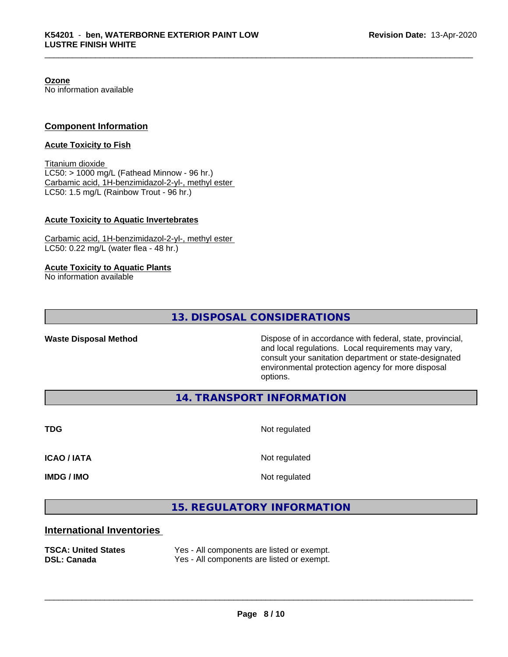**Ozone**

No information available

#### **Component Information**

#### **Acute Toxicity to Fish**

Titanium dioxide  $LC50:$  > 1000 mg/L (Fathead Minnow - 96 hr.) Carbamic acid, 1H-benzimidazol-2-yl-, methyl ester LC50: 1.5 mg/L (Rainbow Trout - 96 hr.)

#### **Acute Toxicity to Aquatic Invertebrates**

Carbamic acid, 1H-benzimidazol-2-yl-, methyl ester LC50: 0.22 mg/L (water flea - 48 hr.)

#### **Acute Toxicity to Aquatic Plants**

No information available

**13. DISPOSAL CONSIDERATIONS**

**Waste Disposal Method Dispose of in accordance with federal, state, provincial,** and local regulations. Local requirements may vary, consult your sanitation department or state-designated environmental protection agency for more disposal options.

**14. TRANSPORT INFORMATION**

**TDG** Not regulated

**ICAO / IATA** Not regulated

**IMDG / IMO** Not regulated

 $\overline{\phantom{a}}$  ,  $\overline{\phantom{a}}$  ,  $\overline{\phantom{a}}$  ,  $\overline{\phantom{a}}$  ,  $\overline{\phantom{a}}$  ,  $\overline{\phantom{a}}$  ,  $\overline{\phantom{a}}$  ,  $\overline{\phantom{a}}$  ,  $\overline{\phantom{a}}$  ,  $\overline{\phantom{a}}$  ,  $\overline{\phantom{a}}$  ,  $\overline{\phantom{a}}$  ,  $\overline{\phantom{a}}$  ,  $\overline{\phantom{a}}$  ,  $\overline{\phantom{a}}$  ,  $\overline{\phantom{a}}$ 

# **15. REGULATORY INFORMATION**

### **International Inventories**

**TSCA: United States** Yes - All components are listed or exempt. **DSL: Canada** Yes - All components are listed or exempt.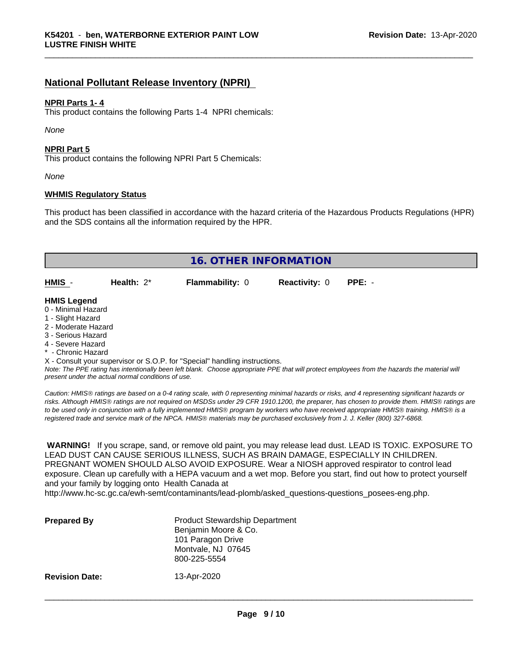# **National Pollutant Release Inventory (NPRI)**

#### **NPRI Parts 1- 4**

This product contains the following Parts 1-4 NPRI chemicals:

*None*

#### **NPRI Part 5**

This product contains the following NPRI Part 5 Chemicals:

*None*

#### **WHMIS Regulatory Status**

This product has been classified in accordance with the hazard criteria of the Hazardous Products Regulations (HPR) and the SDS contains all the information required by the HPR.

|                     | <b>16. OTHER INFORMATION</b> |                        |                      |          |  |  |  |
|---------------------|------------------------------|------------------------|----------------------|----------|--|--|--|
|                     |                              |                        |                      |          |  |  |  |
| HMIS -              | Health: $2^*$                | <b>Flammability: 0</b> | <b>Reactivity: 0</b> | $PPE: -$ |  |  |  |
|                     |                              |                        |                      |          |  |  |  |
| <b>HMIS Legend</b>  |                              |                        |                      |          |  |  |  |
| 0 - Minimal Hazard  |                              |                        |                      |          |  |  |  |
| 1 - Slight Hazard   |                              |                        |                      |          |  |  |  |
| 2 - Moderate Hazard |                              |                        |                      |          |  |  |  |
| 3 - Serious Hazard  |                              |                        |                      |          |  |  |  |
| 4 - Severe Hazard   |                              |                        |                      |          |  |  |  |

\* - Chronic Hazard

X - Consult your supervisor or S.O.P. for "Special" handling instructions.

*Note: The PPE rating has intentionally been left blank. Choose appropriate PPE that will protect employees from the hazards the material will present under the actual normal conditions of use.*

*Caution: HMISÒ ratings are based on a 0-4 rating scale, with 0 representing minimal hazards or risks, and 4 representing significant hazards or risks. Although HMISÒ ratings are not required on MSDSs under 29 CFR 1910.1200, the preparer, has chosen to provide them. HMISÒ ratings are to be used only in conjunction with a fully implemented HMISÒ program by workers who have received appropriate HMISÒ training. HMISÒ is a registered trade and service mark of the NPCA. HMISÒ materials may be purchased exclusively from J. J. Keller (800) 327-6868.*

 **WARNING!** If you scrape, sand, or remove old paint, you may release lead dust. LEAD IS TOXIC. EXPOSURE TO LEAD DUST CAN CAUSE SERIOUS ILLNESS, SUCH AS BRAIN DAMAGE, ESPECIALLY IN CHILDREN. PREGNANT WOMEN SHOULD ALSO AVOID EXPOSURE.Wear a NIOSH approved respirator to control lead exposure. Clean up carefully with a HEPA vacuum and a wet mop. Before you start, find out how to protect yourself and your family by logging onto Health Canada at http://www.hc-sc.gc.ca/ewh-semt/contaminants/lead-plomb/asked\_questions-questions\_posees-eng.php.

| <b>Prepared By</b>    | <b>Product Stewardship Department</b><br>Benjamin Moore & Co.<br>101 Paragon Drive<br>Montvale, NJ 07645<br>800-225-5554 |  |
|-----------------------|--------------------------------------------------------------------------------------------------------------------------|--|
| <b>Revision Date:</b> | 13-Apr-2020                                                                                                              |  |